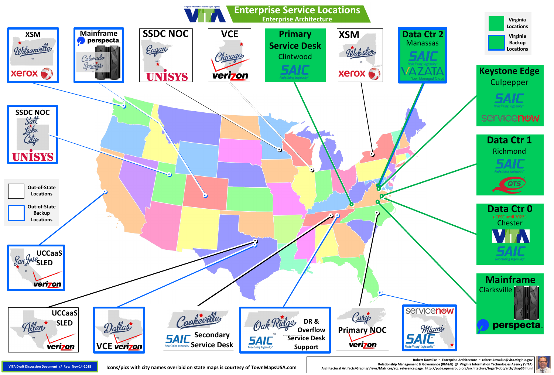**Robert Kowalke ~ Enterprise Architecture ~ robert.kowalke@vita.virginia.gov Relationship Management & Governance (RM&G) @ Virginia Information Technologies Agency (VITA)** VITA Draft Discussion Document // Rev: Nov-14-2018 | ICONS/pics with city names overlaid on state maps is courtesy of TownMapsUSA.com Architectural Artifacts/Graphs/Views/Matrices/etc. reference page: http://pubs.opengroup